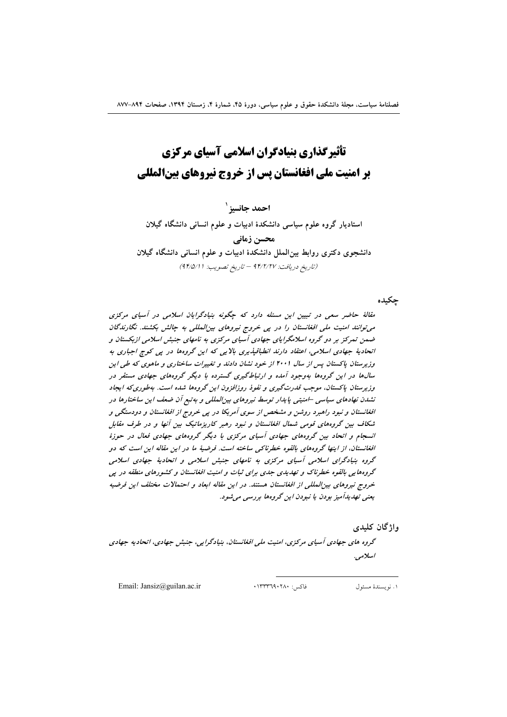احمد جانسيز ` استادیار گروه علوم سیاسی دانشکدهٔ ادبیات و علوم انسانی دانشگاه گیلان محسن زمانے ِ دانشجوی دکتری روابط بین الملل دانشکدهٔ ادبیات و علوم انسانی دانشگاه گیلان (تاريخ دريافت: ٩۴/٢/٢٧ - تاريخ تصويب: ٩۴/٥/١١)

جكبده

مقالهٔ حاضر سعی در تبیین این مسئله دارد که چگونه بنیادگرایان اسلامی در آسیای مرکزی می توانند امنیت ملی افغانستان را در یی خروج نیروهای بین المللی به چالش بکشند. نگارندگان ضمن تمرکز بر دو گروه اسلامگرایای جهادی آسیای مرکزی به نامهای جنبش اسلامی ازبکستان و اتحادیهٔ جهادی اسلامی، اعتقاد دارند انطباقیذیری بالایی که این گروهها در پی کوچ اجباری به وزیرستان پاکستان پس از سال ۲۰۰۱ از خود نشان دادند و تغییرات ساختاری و ماهوی که طی این سال ها در این گروهها بهوجود آمده و ارتباط گیری گسترده با دیگر گروههای جهادی مستقر در وزیرستان پاکستان، موجب قدرتگیری و نفوذ روزافزون این گروهها شده است. بهطوری که ایجاد نشدن نهادهای سیاسی –امنیتی پایدار توسط نیروهای بینالمللی و به تبع آن ضعف این ساختارها در افغانستان و نبود راهبرد روشن و مشخص از سوی آمریکا در پی خروج از افغانستان و دودستگی و شکاف بین گروههای قومی شمال افغانستان و نبود رهبر کاریزماتیک بین آنها و در طرف مقابل انسجام و اتحاد بین گروههای جهادی آسیای مرکزی با دیگر گروههای جهادی فعال در حوزهٔ افغانستان، از اینها گروههای بالقوه خطرناکی ساخته است. فرضیهٔ ما در این مقاله این است که دو گروه بنیادگرای اسلامی آسیای مرکزی به نامهای جنبش اسلامی و اتحادیهٔ جهادی اسلامی گروههایی بالقوه خطرناک و تهدیدی جدی برای ثبات و امنیت افغانستان و کشورهای منطقه در پی خروج نیروهای بین المللی از افغانستان هستند. در این مقاله ابعاد و احتمالات مختلف این فرضیه یعنی تهدیدآمیز بودن یا نبودن این گروهها بررسی می شود.

واژگان كليدي

گروه های جهادی آسیای مرکزی، امنیت ملی افغانستان، بنیادگرایی، جنبش جهادی، اتحادیه جهادی اسلامي.

Email: Jansiz@guilan.ac.ir

فاكس: ١٣٣٣٦٩٠٢٨٠

١. نويسندهٔ مسئول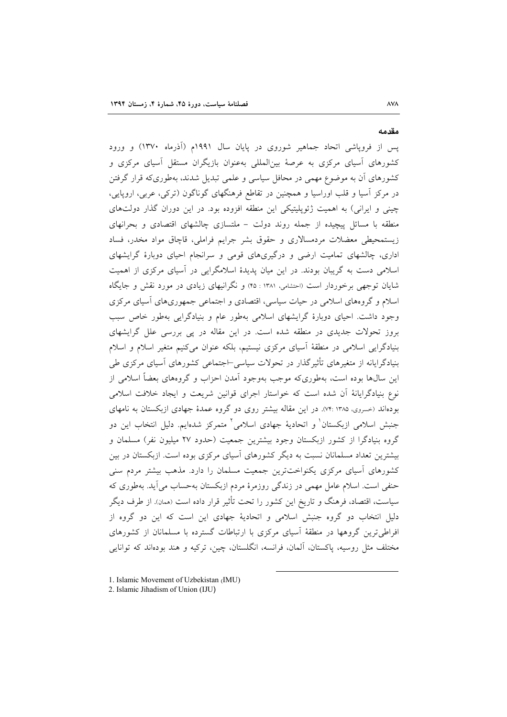یس از فرویاشی اتحاد جماهیر شوروی در پایان سال ۱۹۹۱م (اَذرماه ۱۳۷۰) و ورود کشورهای آسیای مرکزی به عرصهٔ بینالمللی بهعنوان بازیگران مستقل آسیای مرکزی و کشورهای آن به موضوع مهمی در محافل سیاسی و علمی تبدیل شدند، بهطوریکه قرار گرفتن در مرکز آسیا و قلب اوراسیا و همچنین در تقاطع فرهنگهای گوناگون (ترکی، عربی، اروپایی، چینی و ایرانی) به اهمیت ژئوپلیتیکی این منطقه افزوده بود. در این دوران گذار دولتهای منطقه با مسائل پیچیده از جمله روند دولت – ملتسازی چالشهای اقتصادی و بحرانهای زیستمحیطی معضلات مردمسالاری و حقوق بشر جرایم فراملی، قاچاق مواد مخدر، فساد اداری، چالشهای تمامیت ارضی و درگیریهای قومی و سرانجام احیای دوبارهٔ گرایشهای اسلامی دست به گریبان بودند. در این میان پدیدهٔ اسلامگرایی در آسیای مرکزی از اهمیت شایان توجهی برخوردار است (احتشامی، ۱۳۸۱ : ۴۵) و نگرانبهای زیادی در مورد نقش و جایگاه اسلام و گروههای اسلامی در حیات سیاسی، اقتصادی و اجتماعی جمهوریهای آسیای مرکزی وجود داشت. احیای دوبارهٔ گرایشهای اسلامی بهطور عام و بنیادگرایی بهطور خاص سبب بروز تحولات جدیدی در منطقه شده است. در این مقاله در پی بررسی علل گرایشهای بنیادگرایی اسلامی در منطقهٔ آسیای مرکزی نیستیم، بلکه عنوان میکنیم متغیر اسلام و اسلام بنیادگرایانه از متغیرهای تأثیرگذار در تحولات سیاسی⊣جتماعی کشورهای آسیای مرکزی طی این سال0ها بوده است، بهطوریکه موجب بهوجود آمدن احزاب و گروههای بعضاً اسلامی از نوع بنیادگرایانهٔ آن شده است که خواستار اجرای قوانین شریعت و ایجاد خلافت اسلامی بودهاند (خسروی، ۱۳۸۵ :۷۴). در این مقاله بیشتر روی دو گروه عمدهٔ جهادی ازبکستان به نامهای جنبش اسلامی ازبکستان<sup>۱</sup> و اتحادیهٔ جهادی اسلامی<sup>۲</sup> متمرکز شدهایم. دلیل انتخاب این دو گروه بنیادگرا از کشور ازبکستان وجود بیشترین جمعیت (حدود ۲۷ میلیون نفر) مسلمان و بیشترین تعداد مسلمانان نسبت به دیگر کشورهای آسیای مرکزی بوده است. ازبکستان در بین کشورهای آسیای مرکزی یکنواختترین جمعیت مسلمان را دارد. مذهب بیشتر مردم سنی حنفی است. اسلام عامل مهمی در زندگی روزمرهٔ مردم ازبکستان بهحساب میآید. بهطوری که سیاست، اقتصاد، فرهنگ و تاریخ این کشور را تحت تأثیر قرار داده است (همان). از طرف دیگر دلیل انتخاب دو گروه جنبش اسلامی و اتحادیهٔ جهادی این است که این دو گروه از افراطی ترین گروهها در منطقهٔ آسیای مرکزی با ارتباطات گسترده با مسلمانان از کشورهای مختلف مثل روسیه، پاکستان، آلمان، فرانسه، انگلستان، چین، ترکیه و هند بودهاند که توانایی

- 1. Islamic Movement of Uzbekistan (IMU)
- 2. Islamic Jihadism of Union (IJU)

#### مقدمه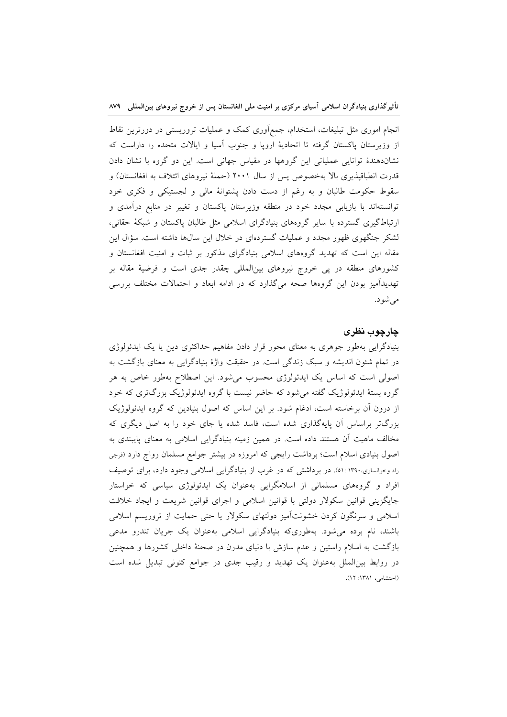انجام اموری مثل تبلیغات، استخدام، جمع[وری کمک و عملیات تروریستی در دورترین نقاط از وزیرستان پاکستان گرفته تا اتحادیهٔ اروپا و جنوب اسیا و ایالات متحده را داراست که نشاندهندهٔ توانایی عملیاتی این گروهها در مقیاس جهانی است. این دو گروه با نشان دادن قدرت انطباقپذیری بالا بهخصوص پس از سال ۲۰۰۱ (حملهٔ نیروهای ائتلاف به افغانستان) و سقوط حکومت طالبان و به رغم از دست دادن پشتوانهٔ مالی و لجستیکی و فکری خود توانستهاند با بازیابی مجدد خود در منطقه وزیرستان پاکستان و تغییر در منابع درآمدی و ارتباط گیری گسترده با سایر گروههای بنیادگرای اسلامی مثل طالبان پاکستان و شبکهٔ حقانی، لشکر جنگهوی ظهور مجدد و عملیات گستردهای در خلال این سال&ا داشته است. سؤال این مقاله این است که تهدید گروههای اسلامی بنیادگرای مذکور بر ثبات و امنیت افغانستان و کشورهای منطقه در پی خروج نیروهای بین|لمللی چقدر جدی است و فرضیهٔ مقاله بر تهدیدآمیز بودن این گروهها صحه میگذارد که در ادامه ابعاد و احتمالات مختلف بررسی مىشود.

### چارچوب نظری

بنیادگرایی بهطور جوهری به معنای محور قرار دادن مفاهیم حداکثری دین یا یک ایدئولوژی در تمام شئون اندیشه و سبک زندگی است. در حقیقت واژهٔ بنیادگرایی به معنای بازگشت به اصولی است که اساس یک ایدئولوژی محسوب میشود. این اصطلاح بهطور خاص به هر گروه بستهٔ ایدئولوژیک گفته میشود که حاضر نیست با گروه ایدئولوژیک بزرگتری که خود از درون آن برخاسته است، ادغام شود. بر این اساس که اصول بنیادین که گروه ایدئولوژیک بزرگتر براساس آن پایهگذاری شده است، فاسد شده یا جای خود را به اصل دیگری که مخالف ماهیت آن هستند داده است. در همین زمینه بنیادگرایی اسلامی به معنای پایبندی به اصول بنیادی اسلام است؛ برداشت رایجی که امروزه در بیشتر جوامع مسلمان رواج دارد (فرجی راد وخوانساری،۱۳۹۰، ۵۱: می برداشتی که در غرب از بنیادگرایی اسلامی وجود دارد، برای توصیف افراد و گروههای مسلمانی از اسلامگرایی بهعنوان یک ایدئولوژی سیاسی که خواستار جایگزینی قوانین سکولار دولتی با قوانین اسلامی و اجرای قوانین شریعت و ایجاد خلافت اسلامی و سرنگون کردن خشونتأمیز دولتهای سکولار یا حتی حمایت از تروریسم اسلامی باشند، نام برده میشود. بهطوریکه بنیادگرایی اسلامی بهعنوان یک جریان تندرو مدعی بازگشت به اسلام راستین و عدم سازش با دنیای مدرن در صحنهٔ داخلی کشورها و همچنین در روابط بینالملل بهعنوان یک تهدید و رقیب جدی در جوامع کنونی تبدیل شده است (احتشامی، ۱۳۸۱: ۱۲).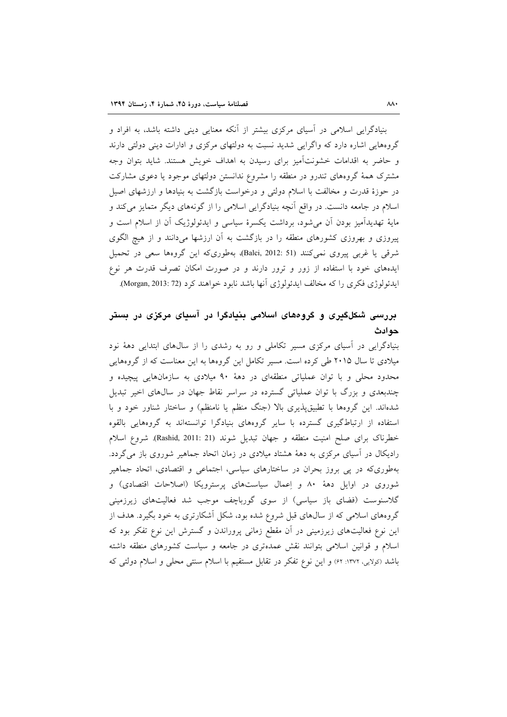بنیادگرایی اسلامی در آسیای مرکزی بیشتر از آنکه معنایی دینی داشته باشد، به افراد و گروههایی اشاره دارد که واگرایی شدید نسبت به دولتهای مرکزی و ادارات دینی دولتی دارند و حاضر به اقدامات خشونتآمیز برای رسیدن به اهداف خویش هستند. شاید بتوان وجه مشترک همهٔ گروههای تندرو در منطقه را مشروع ندانستن دولتهای موجود یا دعوی مشارکت در حوزهٔ قدرت و مخالفت با اسلام دولتی و درخواست بازگشت به بنیادها و ارزشهای اصیل اسلام در جامعه دانست. در واقع آنچه بنیادگرایی اسلامی را از گونههای دیگر متمایز میکند و مایهٔ تهدیدآمیز بودن آن میشود، برداشت یکسرهٔ سیاسی و ایدئولوژیک آن از اسلام است و پیروزی و بهروزی کشورهای منطقه را در بازگشت به آن ارزشها میدانند و از هیچ الگوی شرقی یا غربی پیروی نمیکنند (Balci, 2012: 51)، بهطوریکه این گروهها سعی در تحمیل ایدههای خود با استفاده از زور و ترور دارند و در صورت امکان تصرف قدرت هر نوع ايدئولوژي فكري را كه مخالف ايدئولوژي آنها باشد نابود خواهند كرد (Morgan, 2013: 72).

## بررسی شکلگیری و گروههای اسلامی بنیادگرا در آسیای مرکزی در بستر حوادث

بنیادگرایی در آسیای مرکزی مسیر تکاملی و رو به رشدی را از سالهای ابتدایی دههٔ نود میلادی تا سال ۲۰۱۵ طی کرده است. مسیر تکامل این گروهها به این معناست که از گروههایی محدود محلی و با توان عملیاتی منطقهای در دههٔ ۹۰ میلادی به سازمانهایی پیچیده و چندبعدی و بزرگ با توان عملیاتی گسترده در سراسر نقاط جهان در سال های اخیر تبدیل شدهاند. این گروهها با تطبیقپذیری بالا (جنگ منظم یا نامنظم) و ساختار شناور خود و با استفاده از ارتباط گیری گسترده با سایر گروههای بنیادگرا توانستهاند به گروههایی بالقوه خطرناک برای صلح امنیت منطقه و جهان تبدیل شوند (Rashid, 2011: 21). شروع اسلام رادیکال در آسیای مرکزی به دههٔ هشتاد میلادی در زمان اتحاد جماهیر شوروی باز میگردد. بهطوری که در پی بروز بحران در ساختارهای سیاسی، اجتماعی و اقتصادی، اتحاد جماهیر شوروی در اوایل دههٔ ۸۰ و اِعمال سیاستهای پرسترویکا (اصلاحات اقتصادی) و گلاسنوست (فضای باز سیاسی) از سوی گورباچف موجب شد فعالیتهای زیرزمینی گروههای اسلامی که از سال@ای قبل شروع شده بود، شکل آشکارتری به خود بگیرد. هدف از این نوع فعالیتهای زیرزمینی در آن مقطع زمانی پروراندن و گسترش این نوع تفکر بود که اسلام و قوانین اسلامی بتوانند نقش عمدهتری در جامعه و سیاست کشورهای منطقه داشته باشد (کولایی، ۱۳۷۲: ۶۲) و این نوع تفکر در تقابل مستقیم با اسلام سنتی محلی و اسلام دولتی که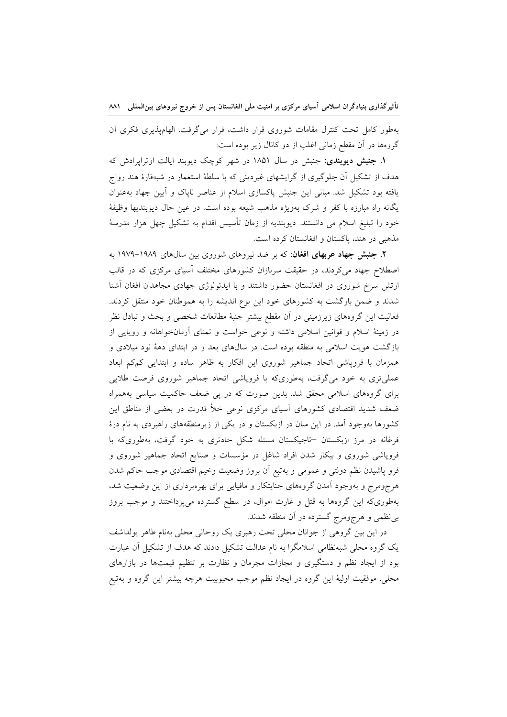بهطور كامل تحت كنترل مقامات شوروى قرار داشت، قرار مى گرفت. الهامپذيرى فكرى آن گروهها در آن مقطع زمانی اغلب از دو کانال زیر بوده است:

**۱. جنبش دیوبندی**: جنبش در سال ۱۸۵۱ در شهر کوچک دیوبند ایالت اوتراپرادش که هدف از تشکیل آن جلوگیری از گرایشهای غیردینی که با سلطهٔ استعمار در شبهقارهٔ هند رواج یافته بود تشکیل شد. مبانی این جنبش پاکسازی اسلام از عناصر ناپاک و آیین جهاد بهعنوان یگانه راه مبارزه با کفر و شرک بهویژه مذهب شیعه بوده است. در عین حال دیوبندیها وظیفهٔ خود را تبلیغ اسلام می دانستند. دیوبندیه از زمان تأسیس اقدام به تشکیل چهل هزار مدرسهٔ مذهبي در هند، پاکستان و افغانستان کرده است.

۲. جنبش جهاد عربهای افغان: که بر ضد نیروهای شوروی بین سالهای ۱۹۸۹–۱۹۷۹ به اصطلاح جهاد می کردند، در حقیقت سربازان کشورهای مختلف آسیای مرکزی که در قالب ارتش سرخ شوروی در افغانستان حضور داشتند و با ایدئولوژی جهادی مجاهدان افغان آشنا شدند و ضمن بازگشت به کشورهای خود این نوع اندیشه را به هموطنان خود منتقل کردند. فعالیت این گروههای زیرزمینی در آن مقطع بیشتر جنبهٔ مطالعات شخصی و بحث و تبادل نظر در زمینهٔ اسلام و قوانین اسلامی داشته و نوعی خواست و تمنای آرمانخواهانه و رویایی از بازگشت هویت اسلامی به منطقه بوده است. در سال۵ای بعد و در ابتدای دههٔ نود میلادی و همزمان با فروپاشی اتحاد جماهیر شوروی این افکار به ظاهر ساده و ابتدایی کمکم ابعاد عملی تری به خود می گرفت، بهطوریکه با فروپاشی اتحاد جماهیر شوروی فرصت طلایی برای گروههای اسلامی محقق شد. بدین صورت که در پی ضعف حاکمیت سیاسی بههمراه ضعف شدید اقتصادی کشورهای آسیای مرکزی نوعی خلأ قدرت در بعضی از مناطق این کشورها بهوجود آمد. در این میان در ازبکستان و در یکی از زیرمنطقههای راهبردی به نام درهٔ فرغانه در مرز ازبکستان –تاجیکستان مسئله شکل حادتری به خود گرفت، بهطوریکه با فروپاشی شوروی و بیکار شدن افراد شاغل در مؤسسات و صنایع اتحاد جماهیر شوروی و فرو پاشیدن نظم دولتی و عمومی و بهتبع آن بروز وضعیت وخیم اقتصادی موجب حاکم شدن هرجومرج و بهوجود آمدن گروههای جنایتکار و مافیایی برای بهرهبرداری از این وضعیت شد، بهطوری که این گروهها به قتل و غارت اموال، در سطح گسترده میپرداختند و موجب بروز بی نظمی و هرجومرج گسترده در آن منطقه شدند.

در این بین گروهی از جوانان محلی تحت رهبری یک روحانی محلی بهنام طاهر یولداشف یک گروه محلی شبهنظامی اسلامگرا به نام عدالت تشکیل دادند که هدف از تشکیل آن عبارت بود از ایجاد نظم و دستگیری و مجازات مجرمان و نظارت بر تنظیم قیمتها در بازارهای محلي. موفقيت اوليهٔ اين گروه در ايجاد نظم موجب محبوبيت هرچه بيشتر اين گروه و بهتبع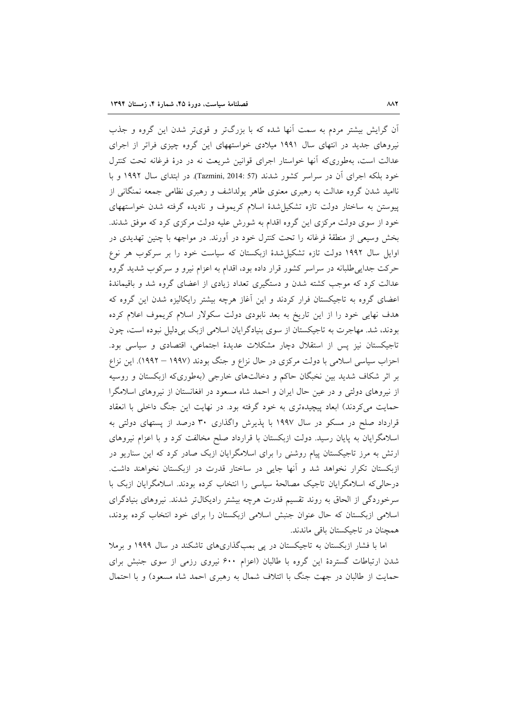آن گرایش بیشتر مردم به سمت آنها شده که با بزرگتر و قویتر شدن این گروه و جذب نیروهای جدید در انتهای سال ۱۹۹۱ میلادی خواستههای این گروه چیزی فراتر از اجرای عدالت است، بهطوریکه أنها خواستار اجرای قوانین شریعت نه در درهٔ فرغانه تحت کنترل خود بلکه اجرای آن در سراسر کشور شدند (Tazmini, 2014: 57). در ابتدای سال ۱۹۹۲ و با ناامید شدن گروه عدالت به رهبری معنوی طاهر پولداشف و رهبری نظامی جمعه نمنگانی از پیوستن به ساختار دولت تازه تشکیل شدهٔ اسلام کریموف و نادیده گرفته شدن خواستههای خود از سوی دولت مرکزی این گروه اقدام به شورش علیه دولت مرکزی کرد که موفق شدند. بخش وسیعی از منطقهٔ فرغانه را تحت کنترل خود در آورند. در مواجهه با چنین تهدیدی در اوایل سال ۱۹۹۲ دولت تازه تشکیل شدهٔ ازبکستان که سیاست خود را بر سرکوب هر نوع حرکت جدایی طلبانه در سراسر کشور قرار داده بود، اقدام به اعزام نیرو و سرکوب شدید گروه عدالت کرد که موجب کشته شدن و دستگیری تعداد زیادی از اعضای گروه شد و باقیماندهٔ اعضای گروه به تاجیکستان فرار کردند و این آغاز هرچه بیشتر رایکالیزه شدن این گروه که هدف نهایی خود را از این تاریخ به بعد نابودی دولت سکولار اسلام کریموف اعلام کرده بودند، شد. مهاجرت به تاجیکستان از سوی بنیادگرایان اسلامی ازبک بی دلیل نبوده است، چون تاجیکستان نیز پس از استقلال دچار مشکلات عدیدهٔ اجتماعی، اقتصادی و سیاسی بود. احزاب سیاسی اسلامی با دولت مرکزی در حال نزاع و جنگ بودند (۱۹۹۷ – ۱۹۹۲). این نزاع بر اثر شکاف شدید بین نخبگان حاکم و دخالتهای خارجی (بهطوریکه ازبکستان و روسیه از نیروهای دولتی و در عین حال ایران و احمد شاه مسعود در افغانستان از نیروهای اسلامگرا حمایت میکردند) ابعاد پیچیدهتری به خود گرفته بود. در نهایت این جنگ داخلی با انعقاد قرارداد صلح در مسکو در سال ۱۹۹۷ با پذیرش واگذاری ۳۰ درصد از پستهای دولتی به اسلامگرایان به پایان رسید. دولت ازبکستان با قرارداد صلح مخالفت کرد و با اعزام نیروهای ارتش به مرز تاجیکستان پیام روشنی را برای اسلامگرایان ازبک صادر کرد که این سناریو در ازبکستان تکرار نخواهد شد و آنها جایی در ساختار قدرت در ازبکستان نخواهند داشت. درحالی که اسلامگرایان تاجیک مصالحهٔ سیاسی را انتخاب کرده بودند. اسلامگرایان ازبک با سرخوردگی از الحاق به روند تقسیم قدرت هرچه بیشتر رادیکال تر شدند. نیروهای بنیادگرای اسلامی ازبکستان که حال عنوان جنبش اسلامی ازبکستان را برای خود انتخاب کرده بودند، همچنان در تاجیکستان باقی ماندند.

اما با فشار ازبکستان به تاجیکستان در یی بمبگذاریهای تاشکند در سال ۱۹۹۹ و برملا شدن ارتباطات گستردهٔ این گروه با طالبان (اعزام ۶۰۰ نیروی رزمی از سوی جنبش برای حمایت از طالبان در جهت جنگ با ائتلاف شمال به رهبری احمد شاه مسعود) و با احتمال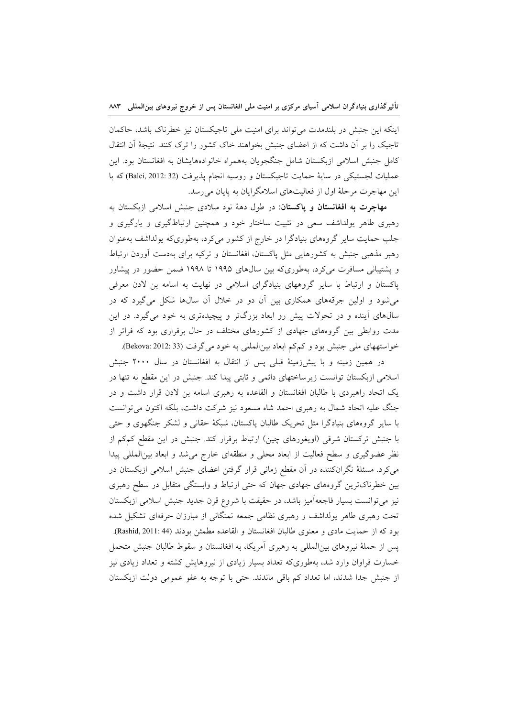اینکه این جنبش در بلندمدت می تواند برای امنیت ملی تاجیکستان نیز خطرناک باشد، حاکمان تاجیک را بر آن داشت که از اعضای جنبش بخواهند خاک کشور را ترک کنند. نتیجهٔ آن انتقال کامل جنبش اسلامی ازبکستان شامل جنگجویان بههمراه خانوادههایشان به افغانستان بود. این عمليات لجستيكي در ساية حمايت تاجيكستان و روسيه انجام يذيرفت (Balci, 2012: 32) كه با این مهاجرت مرحلهٔ اول از فعالیتهای اسلامگر ایان به پایان می رسد.

مهاجرت به افغانستان و پاکستان: در طول دههٔ نود میلادی جنبش اسلامی ازبکستان به رهبری طاهر پولداشف سعی در تثبیت ساختار خود و همچنین ارتباطگیری و پارگیری و جلب حمایت سایر گروههای بنیادگرا در خارج از کشور می کرد، بهطوریکه یولداشف بهعنوان رهبر مذهبی جنبش به کشورهایی مثل پاکستان، افغانستان و ترکیه برای بهدست آوردن ارتباط و پشتیبانی مسافرت میکرد، بهطوریکه بین سالهای ۱۹۹۵ تا ۱۹۹۸ ضمن حضور در پیشاور پاکستان و ارتباط با سایر گروههای بنیادگرای اسلامی در نهایت به اسامه بن لادن معرفی می شود و اولین جرقههای همکاری بین آن دو در خلال آن سالها شکل میگیرد که در سالهای آینده و در تحولات پیش رو ابعاد بزرگتر و پیچیدهتری به خود میگیرد. در این مدت روابطی بین گروههای جهادی از کشورهای مختلف در حال برقراری بود که فراتر از خواستههای ملی جنبش بود و کم کم ابعاد بین المللی به خود می گرفت (Bekova: 2012: 33).

در همین زمینه و با پیش(مینهٔ قبلی پس از انتقال به افغانستان در سال ۲۰۰۰ جنبش اسلامی ازبکستان توانست زیرساختهای دائمی و ثابتی پیدا کند. جنبش در این مقطع نه تنها در یک اتحاد راهبردی با طالبان افغانستان و القاعده به رهبری اسامه بن لادن قرار داشت و در جنگ علیه اتحاد شمال به رهبری احمد شاه مسعود نیز شرکت داشت، بلکه اکنون می توانست با سایر گروههای بنیادگرا مثل تحریک طالبان پاکستان، شبکهٔ حقانی و لشکر جنگهوی و حتبی با جنبش ترکستان شرقی (اویغورهای چین) ارتباط برقرار کند. جنبش در این مقطع کمکم از نظر عضوگیری و سطح فعالیت از ابعاد محلی و منطقهای خارج می شد و ابعاد بین المللی پیدا می کرد. مسئلهٔ نگرانکننده در آن مقطع زمانی قرار گرفتن اعضای جنبش اسلامی ازبکستان در بین خطرناکترین گروههای جهادی جهان که حتی ارتباط و وابستگی متقابل در سطح رهبری نیز میتوانست بسیار فاجعهآمیز باشد، در حقیقت با شروع قرن جدید جنبش اسلامی ازبکستان تحت رهبری طاهر یولداشف و رهبری نظامی جمعه نمنگانی از مبارزان حرفهای تشکیل شده بود كه از حمايت مادي و معنوي طالبان افغانستان و القاعده مطمئن بودند (Rashid, 2011: 44). پس از حملهٔ نیروهای بین|لمللی به رهبری آمریکا، به افغانستان و سقوط طالبان جنبش متحمل خسارت فراوان وارد شد، بهطوریکه تعداد بسیار زیادی از نیروهایش کشته و تعداد زیادی نیز از جنبش جدا شدند، اما تعداد کم باقی ماندند. حتی با توجه به عفو عمومی دولت ازبکستان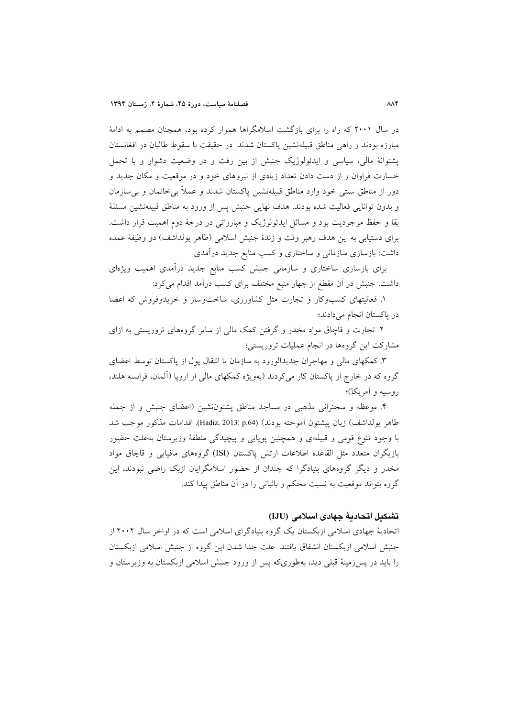در سال ۲۰۰۱ که راه را برای بازگشت اسلامگراها هموار کرده بود، همچنان مصمم به ادامهٔ مبارزه بودند و راهی مناطق قبیلهنشین پاکستان شدند. در حقیقت با سقوط طالبان در افغانستان پشتوانهٔ مالی، سیاسی و ایدئولوژیک جنبش از بین رفت و در وضعیت دشوار و با تحمل خسارت فراوان و از دست دادن تعداد زیادی از نیروهای خود و در موقعیت و مکان جدید و دور از مناطق سنتی خود وارد مناطق قبیلهنشین پاکستان شدند و عملاً بی خانمان و بی سازمان و بدون توانایی فعالیت شده بودند. هدف نهایی جنبش پس از ورود به مناطق قبیلهنشین مسئلهٔ بقا و حفظ موجودیت بود و مسائل ایدئولوژیک و مبارزاتی در درجهٔ دوم اهمیت قرار داشت. براي دستيابي به اين هدف رهبر وقت و زندهٔ جنبش اسلامي (طاهر يولداشف) دو وظيفهٔ عمده داشت: بازسازی سازمانی و ساختاری و کسب منابع جدید درآمدی.

برای بازسازی ساختاری و سازمانی جنبش کسب منابع جدید درآمدی اهمیت ویژهای داشت. جنبش در آن مقطع از چهار منبع مختلف برای کسب درآمد اقدام می کرد:

۱. فعالیتهای کسبوکار و تجارت مثل کشاورزی، ساختوساز و خریدوفروش که اعضا در ياكستان انجام مي دادند؛

۲. تجارت و قاچاق مواد مخدر و گرفتن کمک مالی از سایر گروههای تروریستی به ازای مشارکت این گروهها در انجام عملیات تروریستی؛

۳. کمکهای مالی و مهاجران جدیدالورود به سازمان یا انتقال پول از پاکستان توسط اعضای گروه که در خارج از پاکستان کار می کردند (بهویژه کمکهای مالی از اروپا (آلمان، فرانسه هلند، روسيه و آمريكا)؛

۴. موعظه و سخنرانی مذهبی در مساجد مناطق پشتوننشین (اعضای جنبش و از جمله طاهر يولداشف) زبان پيشتون آموخته بودند) (Hadiz, 2013: p.64). اقدامات مذكور موجب شد با وجود تنوع قومی و قبیلهای و همچنین پویایی و پیچیدگی منطقهٔ وزیرستان بهعلت حضور بازیگران متعدد مثل القاعده اطلاعات ارتش پاکستان (ISI) گروههای مافیایی و قاچاق مواد مخدر و دیگر گروههای بنیادگرا که چندان از حضور اسلامگرایان ازبک راضی نبودند، این گروه بتواند موقعیت به نسبت محکم و باثباتی را در آن مناطق پیدا کند.

### تشكيل اتحاديةً جهادى اسلامي (IJU)

اتحادیهٔ جهادی اسلامی ازبکستان یک گروه بنیادگرای اسلامی است که در اواخر سال ۲۰۰۲ از جنبش اسلامی ازبکستان انشقاق یافتند. علت جدا شدن این گروه از جنبش اسلامی ازبکستان را باید در پس زمینهٔ قبلی دید، بهطوریکه پس از ورود جنبش اسلامی ازبکستان به وزیرستان و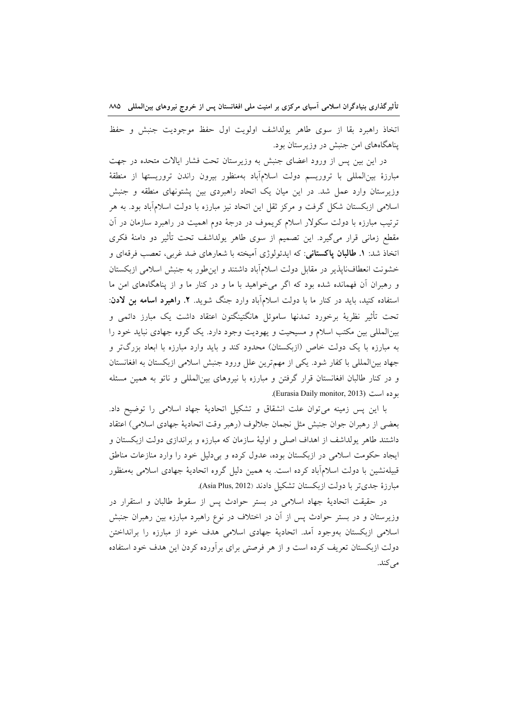اتخاذ راهبرد بقا از سوى طاهر يولداشف اولويت اول حفظ موجوديت جنبش و حفظ یناهگاههای امن جنبش در وزیرستان بود.

در این بین پس از ورود اعضای جنبش به وزیرستان تحت فشار ایالات متحده در جهت مبارزهٔ بینالمللی با تروریسم دولت اسلامآباد بهمنظور بیرون راندن تروریستها از منطقهٔ وزیرستان وارد عمل شد. در این میان یک اتحاد راهبردی بین پشتونهای منطقه و جنبش اسلامی ازبکستان شکل گرفت و مرکز ثقل این اتحاد نیز مبارزه با دولت اسلامآباد بود. به هر ترتیب مبارزه با دولت سکولار اسلام کریموف در درجهٔ دوم اهمیت در راهبرد سازمان در آن مقطع زمانی قرار میگیرد. این تصمیم از سوی طاهر یولداشف تحت تأثیر دو دامنهٔ فکری اتخاذ شد: **۱. طالبان پاکستانی**: که ایدئولوژی آمیخته با شعارهای ضد غربی، تعصب فرقهای و خشونت انعطاف ناپذیر در مقابل دولت اسلام آباد داشتند و این طور به جنبش اسلامی ازبکستان و رهبران آن فهمانده شده بود که اگر می خواهید با ما و در کنار ما و از پناهگاههای امن ما استفاده کنید، باید در کنار ما با دولت اسلامآباد وارد جنگ شوید. ۲. **راهبرد اسامه بن لادن**: تحت تأثیر نظریهٔ برخورد تمدنها ساموئل هانگتینگتون اعتقاد داشت یک مبارز دائمی و بینالمللی بین مکتب اسلام و مسیحیت و یهودیت وجود دارد. یک گروه جهادی نباید خود را به مبارزه با یک دولت خاص (ازبکستان) محدود کند و باید وارد مبارزه با ابعاد بزرگتر و جهاد بین المللی با کفار شود. یکی از مهم ترین علل ورود جنبش اسلامی ازبکستان به افغانستان و در کنار طالبان افغانستان قرار گرفتن و مبارزه با نیروهای بینالمللی و ناتو به همین مسئله بو ده است (Eurasia Daily monitor, 2013).

با این پس زمینه می توان علت انشقاق و تشکیل اتحادیهٔ جهاد اسلامی را توضیح داد. بعضي از رهبران جوان جنبش مثل نجمان جلالوف (رهبر وقت اتحاديهٔ جهادي اسلامي) اعتقاد داشتند طاهر یولداشف از اهداف اصلی و اولیهٔ سازمان که مبارزه و براندازی دولت ازبکستان و ایجاد حکومت اسلامی در ازبکستان بوده، عدول کرده و بی دلیل خود را وارد منازعات مناطق قبیلهنشین با دولت اسلامآباد کرده است. به همین دلیل گروه اتحادیهٔ جهادی اسلامی بهمنظور مبارزهٔ جدیتر با دولت ازبکستان تشکیل دادند (Asia Plus, 2012).

در حقیقت اتحادیهٔ جهاد اسلامی در بستر حوادث پس از سقوط طالبان و استقرار در وزیرستان و در بستر حوادث پس از آن در اختلاف در نوع راهبرد مبارزه بین رهبران جنبش اسلامی ازبکستان بهوجود آمد. اتحادیهٔ جهادی اسلامی هدف خود از مبارزه را برانداختن دولت ازبکستان تعریف کرده است و از هر فرصتی برای برآورده کردن این هدف خود استفاده مى كند.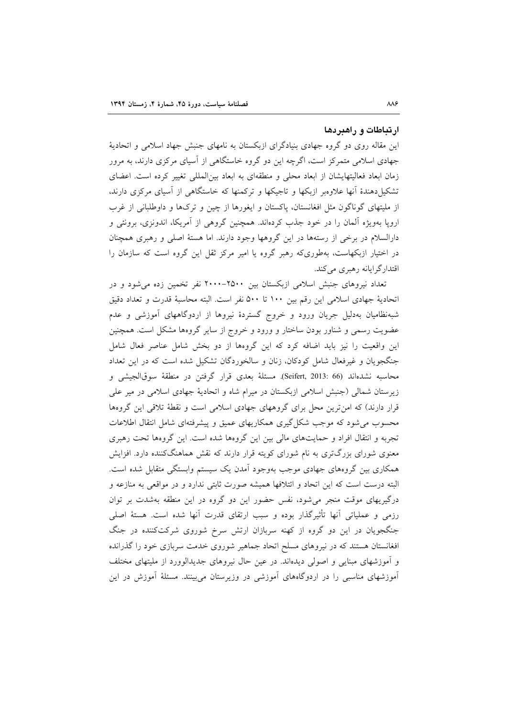#### ارتباطات و راهبردها

این مقاله روی دو گروه جهادی بنیادگرای ازبکستان به نامهای جنبش جهاد اسلامی و اتحادیهٔ جهادی اسلامی متمرکز است، اگرچه این دو گروه خاستگاهی از آسیای مرکزی دارند، به مرور زمان ابعاد فعالیتهایشان از ابعاد محلی و منطقهای به ابعاد بین المللی تغییر کرده است. اعضای تشکیل دهندهٔ آنها علاوهبر ازبکها و تاجیکها و ترکمنها که خاستگاهی از آسیای مرکزی دارند. از ملیتهای گوناگون مثل افغانستان، پاکستان و ایغورها از چین و ترکها و داوطلبانی از غرب اروپا بهویژه آلمان را در خود جذب کردهاند. همچنین گروهی از آمریکا، اندونزی، برونئی و دارالسلام در برخی از رستهها در این گروهها وجود دارند. اما هستهٔ اصلی و رهبری همچنان در اختیار ازبکهاست، بهطوریکه رهبر گروه یا امیر مرکز ثقل این گروه است که سازمان را اقتدارگرایانه رهبری می کند.

تعداد نیروهای جنبش اسلامی ازبکستان بین ۲۵۰۰-۲۰۰۰ نفر تخمین زده می شود و در اتحاديهٔ جهادي اسلامي اين رقم بين ١٠٠ تا ٥٠٠ نفر است. البته محاسبهٔ قدرت و تعداد دقيق شبهنظامیان بهدلیل جریان ورود و خروج گستردهٔ نیروها از اردوگاههای آموزشی و عدم عضویت رسمی و شناور بودن ساختار و ورود و خروج از سایر گروهها مشکل است. همچنین این واقعیت را نیز باید اضافه کرد که این گروهها از دو بخش شامل عناصر فعال شامل جنگجویان و غیرفعال شامل کودکان، زنان و سالخوردگان تشکیل شده است که در این تعداد محاسبه نشدهاند (Seifert, 2013: 66). مسئلة بعدي قرار گرفتن در منطقة سوقالجيشي و زیرستان شمالی (جنبش اسلامی ازبکستان در میرام شاه و اتحادیهٔ جهادی اسلامی در میر علی قرار دارند) که امن ترین محل برای گروههای جهادی اسلامی است و نقطهٔ تلاقی این گروهها محسوب می شود که موجب شکل گیری همکاریهای عمیق و پیشرفتهای شامل انتقال اطلاعات تجربه و انتقال افراد و حمایتهای مالی بین این گروهها شده است. این گروهها تحت رهبری معنوی شورای بزرگتری به نام شورای کویته قرار دارند که نقش هماهنگکننده دارد. افزایش همکاری بین گروههای جهادی موجب بهوجود آمدن یک سیستم وابستگی متقابل شده است. البته درست است که این اتحاد و ائتلافها همیشه صورت ثابتی ندارد و در مواقعی به منازعه و درگیریهای موقت منجر میشود، نفس حضور این دو گروه در این منطقه بهشدت بر توان رزمی و عملیاتی آنها تأثیرگذار بوده و سبب ارتقای قدرت آنها شده است. هستهٔ اصلی جنگجویان در این دو گروه از کهنه سربازان ارتش سرخ شوروی شرکتکننده در جنگ افغانستان هستند که در نیروهای مسلح اتحاد جماهیر شوروی خدمت سربازی خود را گذرانده و أموزشهای مبنایی و اصولی دیدهاند. در عین حال نیروهای جدیدالوورد از ملیتهای مختلف آموزشهای مناسبی را در اردوگاههای آموزشی در وزیرستان می بینند. مسئلهٔ آموزش در این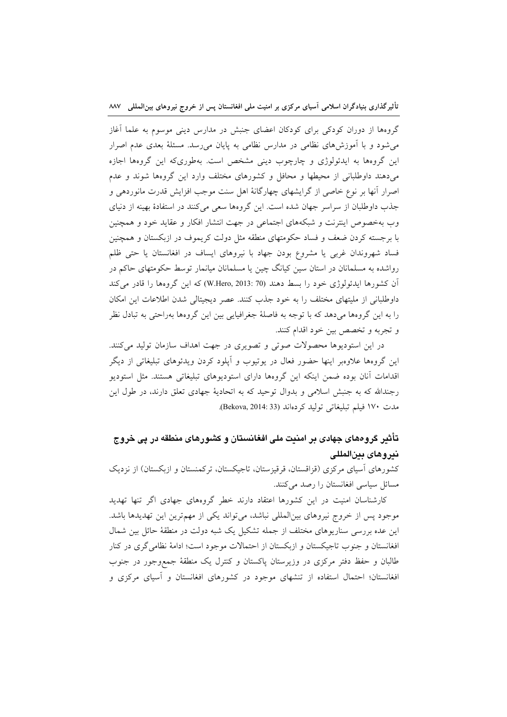گروهها از دوران کودکی برای کودکان اعضای جنبش در مدارس دینی موسوم به علما آغاز می شود و با آموزشهای نظامی در مدارس نظامی به پایان می رسد. مسئلهٔ بعدی عدم اصرار این گروهها به ایدئولوژی و چارچوب دینی مشخص است. بهطوریکه این گروهها اجازه میدهند داوطلبانی از محیطها و محافل و کشورهای مختلف وارد این گروهها شوند و عدم اصرار آنها بر نوع خاصی از گرایشهای چهارگانهٔ اهل سنت موجب افزایش قدرت مانوردهی و جذب داوطلبان از سراسر جهان شده است. این گروهها سعی میکنند در استفادهٔ بهینه از دنیای وب بهخصوص اینترنت و شبکههای اجتماعی در جهت انتشار افکار و عقاید خود و همچنین با برجسته کردن ضعف و فساد حکومتهای منطقه مثل دولت کریموف در ازبکستان و همچنین فساد شهروندان غربی یا مشروع بودن جهاد با نیروهای ایساف در افغانستان یا حتی ظلم رواشده به مسلمانان در استان سین کیانگ چین یا مسلمانان میانمار توسط حکومتهای حاکم در آن كشورها ايدئولوژي خود را بسط دهند (W.Hero, 2013: 70) كه اين گروهها را قادر مي كند داوطلبانی از ملیتهای مختلف را به خود جذب کنند. عصر دیجیتالی شدن اطلاعات این امکان را به این گروهها میدهد که با توجه به فاصلهٔ جغرافیایی بین این گروهها بهراحتی به تبادل نظر و تجربه و تخصص بين خود اقدام كنند.

در این استودیوها محصولات صوتی و تصویری در جهت اهداف سازمان تولید میکنند. این گروهها علاوهبر اینها حضور فعال در یوتیوب و اَپلود کردن ویدئوهای تبلیغاتی از دیگر اقدامات آنان بوده ضمن اینکه این گروهها دارای استودیوهای تبلیغاتی هستند. مثل استودیو رجندالله که به جنبش اسلامی و بدوال توحید که به اتحادیهٔ جهادی تعلق دارند، در طول این مدت ١٧٠ فيلم تبليغاتي توليد كردماند (Bekova, 2014: 33).

### تأثیر گروههای جهادی بر امنیت ملی افغانستان و کشورهای منطقه در پی خروج ندروهاي بين المللي

کشورهای آسیای مرکزی (قزاقستان، قرقیزستان، تاجیکستان، ترکمنستان و ازبکستان) از نزدیک مسائل سیاسی افغانستان را رصد میکنند.

کارشناسان امنیت در این کشورها اعتقاد دارند خطر گروههای جهادی اگر تنها تهدید موجود پس از خروج نیروهای بینالمللی نباشد، میتواند یکی از مهمترین این تهدیدها باشد. این عده بررسی سناریوهای مختلف از جمله تشکیل یک شبه دولت در منطقهٔ حائل بین شمال افغانستان و جنوب تاجیکستان و ازبکستان از احتمالات موجود است؛ ادامهٔ نظامی گری در کنار طالبان و حفظ دفتر مرکزی در وزیرستان پاکستان و کنترل یک منطقهٔ جمع وجور در جنوب افغانستان؛ احتمال استفاده از تنشهای موجود در کشورهای افغانستان و آسیای مرکزی و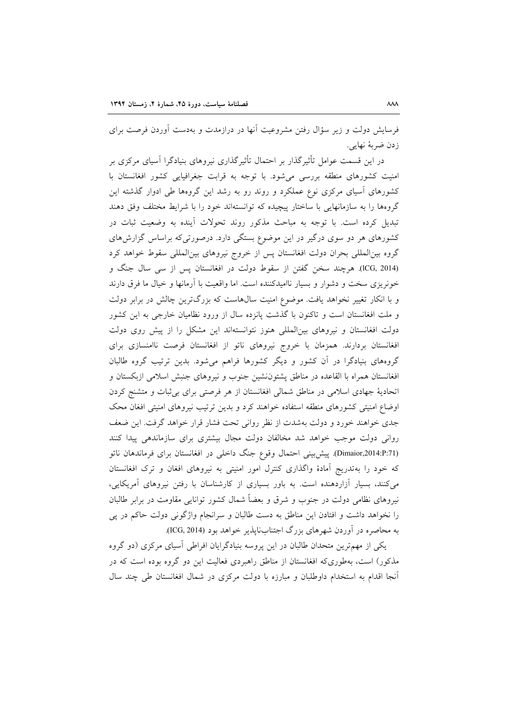فرسایش دولت و زیر سؤال رفتن مشروعیت آنها در درازمدت و بهدست آوردن فرصت برای زدن ضربهٔ نهایی.

در این قسمت عوامل تأثیرگذار بر احتمال تأثیرگذاری نیروهای بنیادگرا آسیای مرکزی بر امنیت کشورهای منطقه بررسی می شود. با توجه به قرابت جغرافیایی کشور افغانستان با کشورهای آسیای مرکزی نوع عملکرد و روند رو به رشد این گروهها طی ادوار گذشته این گروهها را به سازمانهایی با ساختار پیچیده که توانستهاند خود را با شرایط مختلف وفق دهند تبدیل کرده است. با توجه به مباحث مذکور روند تحولات آینده به وضعیت ثبات در کشورهای هر دو سوی درگیر در این موضوع بستگی دارد. درصورتی که براساس گزارشهای گروه بینالمللی بحران دولت افغانستان پس از خروج نیروهای بینالمللی سقوط خواهد کرد (ICG, 2014). هرچند سخن گفتن از سقوط دولت در افغانستان پس از سی سال جنگ و خونریزی سخت و دشوار و بسیار ناامیدکننده است. اما واقعیت با آرمانها و خیال ما فرق دارند و با انکار تغییر نخواهد یافت. موضوع امنیت سال۵هاست که بزرگترین چالش در برابر دولت و ملت افغانستان است و تاکنون با گذشت پانزده سال از ورود نظامیان خارجی به این کشور دولت افغانستان و نیروهای بین المللی هنوز نتوانستهاند این مشکل را از پیش روی دولت افغانستان بردارند. همزمان با خروج نيروهاى ناتو از افغانستان فرصت ناامنسازى براى گروههای بنیادگرا در آن کشور و دیگر کشورها فراهم می شود. بدین ترتیب گروه طالبان افغانستان همراه با القاعده در مناطق پشتون نشین جنوب و نیروهای جنبش اسلامی ازبکستان و اتحادیهٔ جهادی اسلامی در مناطق شمالی افغانستان از هر فرصتی برای بی ثبات و متشنج کردن اوضاع امنیتی کشورهای منطقه استفاده خواهند کرد و بدین ترتیب نیروهای امنیتی افغان محک جدی خواهند خورد و دولت بهشدت از نظر روانی تحت فشار قرار خواهد گرفت. این ضعف روانی دولت موجب خواهد شد مخالفان دولت مجال بیشتری برای سازماندهی پیدا کنند (Dimaior,2014:P:71). پیش بینی احتمال وقوع جنگ داخلی در افغانستان برای فرماندهان ناتو که خود را بهتدریج آمادهٔ واگذاری کنترل امور امنیتی به نیروهای افغان و ترک افغانستان می کنند، بسیار آزاردهنده است. به باور بسیاری از کارشناسان با رفتن نیروهای آمریکایی، نیروهای نظامی دولت در جنوب و شرق و بعضاً شمال کشور توانایی مقاومت در برابر طالبان را نخواهد داشت و افتادن این مناطق به دست طالبان و سرانجام واژگونی دولت حاکم در پی به محاصره در آوردن شهرهای بزرگ اجتنابنایذیر خواهد بود (ICG, 2014).

یکی از مهمترین متحدان طالبان در این پروسه بنیادگرایان افراطی آسیای مرکزی (دو گروه مذکور) است، بهطوریکه افغانستان از مناطق راهبردی فعالیت این دو گروه بوده است که در آنجا اقدام به استخدام داوطلبان و مبارزه با دولت مركزى در شمال افغانستان طى چند سال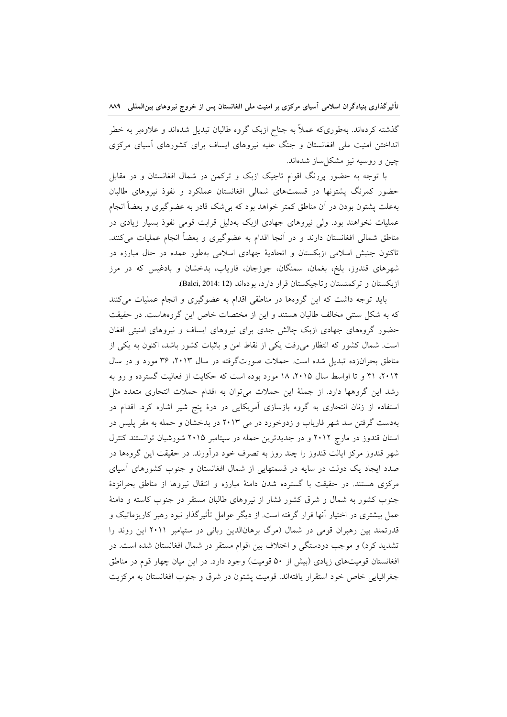گذشته کردهاند. بهطوریکه عملاً به جناح ازبک گروه طالبان تبدیل شدهاند و علاوهبر به خطر انداختن امنیت ملی افغانستان و جنگ علیه نیروهای ایساف برای کشورهای آسیای مرکزی چین و روسیه نیز مشکل ساز شدهاند.

با توجه به حضور پررنگ اقوام تاجیک ازبک و ترکمن در شمال افغانستان و در مقابل حضور کمرنگ پشتونها در قسمتهای شمالی افغانستان عملکرد و نفوذ نیروهای طالبان بهعلت پشتون بودن در آن مناطق کمتر خواهد بود که بی شک قادر به عضوگیری و بعضاً انجام عملیات نخواهند بود. ولی نیروهای جهادی ازبک بهدلیل قرابت قومی نفوذ بسیار زیادی در مناطق شمالی افغانستان دارند و در آنجا اقدام به عضوگیری و بعضاً انجام عملیات می کنند. تاکنون جنبش اسلامی ازبکستان و اتحادیهٔ جهادی اسلامی بهطور عمده در حال مبارزه در شهرهای قندوز، بلخ، بغمان، سمنگان، جوزجان، فاریاب، بدخشان و بادغیس که در مرز ازبکستان و ترکمنستان وتاجیکستان قرار دارد، بودهاند (Balci, 2014: 12).

باید توجه داشت که این گروهها در مناطقی اقدام به عضوگیری و انجام عملیات میکنند که به شکل سنتی مخالف طالبان هستند و این از مختصات خاص این گروههاست. در حقیقت حضور گروههای جهادی ازبک چالش جدی برای نیروهای ایساف و نیروهای امنیتی افغان است. شمال کشور که انتظار میرفت یکی از نقاط امن و باثبات کشور باشد، اکنون به یکی از مناطق بحرانزده تبدیل شده است. حملات صورتگرفته در سال ۲۰۱۳، ۳۶ مورد و در سال ۲۰۱۴، ۴۱ و تا اواسط سال ۲۰۱۵، ۱۸ مورد بوده است که حکایت از فعالیت گسترده و رو به رشد این گروهها دارد. از جملهٔ این حملات میتوان به اقدام حملات انتحاری متعدد مثل استفاده از زنان انتحاری به گروه بازسازی آمریکایی در درهٔ پنج شیر اشاره کرد. اقدام در بهدست گرفتن سد شهر فاریاب و زدوخورد در می ۲۰۱۳ در بدخشان و حمله به مقر پلیس در استان قندوز در مارچ ۲۰۱۲ و در جدیدترین حمله در سپتامبر ۲۰۱۵ شورشیان توانستند کنترل شهر قندوز مرکز ایالت قندوز را چند روز به تصرف خود درآورند. در حقیقت این گروهها در صدد ایجاد یک دولت در سایه در قسمتهایی از شمال افغانستان و جنوب کشورهای آسیای مرکزی هستند. در حقیقت با گسترده شدن دامنهٔ مبارزه و انتقال نیروها از مناطق بحرانزدهٔ جنوب کشور به شمال و شرق کشور فشار از نیروهای طالبان مستقر در جنوب کاسته و دامنهٔ عمل بیشتری در اختیار آنها قرار گرفته است. از دیگر عوامل تأثیرگذار نبود رهبر کاریزماتیک و قدرتمند بین رهبران قومی در شمال (مرگ برهانالدین ربانی در ستپامبر ۲۰۱۱ این روند را تشدید کرد) و موجب دودستگی و اختلاف بین اقوام مستقر در شمال افغانستان شده است. در افغانستان قومیتهای زیادی (بیش از ۵۰ قومیت) وجود دارد. در این میان چهار قوم در مناطق جغرافيايي خاص خود استقرار يافتهاند. قوميت پشتون در شرق و جنوب افغانستان به مركزيت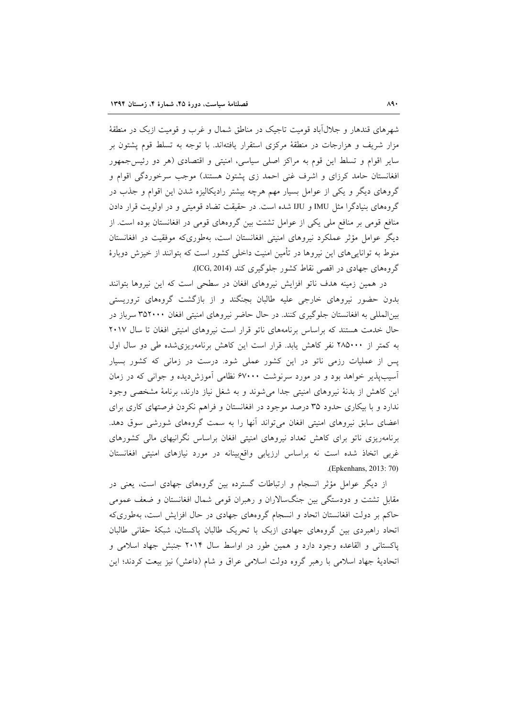شهرهای قندهار و جلال آباد قومیت تاجیک در مناطق شمال و غرب و قومیت ازبک در منطقهٔ مزار شریف و هزارجات در منطقهٔ مرکزی استقرار یافتهاند. با توجه به تسلط قوم پشتون بر سایر اقوام و تسلط این قوم به مراکز اصلی سیاسی، امنیتی و اقتصادی (هر دو رئیسجمهور افغانستان حامد کرزای و اشرف غنی احمد زی پشتون هستند) موجب سرخوردگی اقوام و گروهای دیگر و یکی از عوامل بسیار مهم هرچه بیشتر رادیکالیزه شدن این اقوام و جذب در گروههای بنیادگرا مثل IMU و IJU شده است. در حقیقت تضاد قومیتی و در اولویت قرار دادن منافع قومی بر منافع ملی یکی از عوامل تشتت بین گروههای قومی در افغانستان بوده است. از دیگر عوامل مؤثر عملکرد نیروهای امنیتی افغانستان است، بهطوریکه موفقیت در افغانستان منوط به تواناییهای این نیروها در تأمین امنیت داخلی کشور است که بتوانند از خیزش دوبارهٔ گروههای جهادی در اقصی نقاط کشور جلوگیری کند (ICG, 2014).

در همین زمینه هدف ناتو افزایش نیروهای افغان در سطحی است که این نیروها بتوانند بدون حضور نیروهای خارجی علیه طالبان بجنگند و از بازگشت گروههای تروریستی بینالمللی به افغانستان جلوگیری کنند. در حال حاضر نیروهای امنیتی افغان ۳۵۲۰۰۰ سرباز در حال خدمت هستند که براساس برنامههای ناتو قرار است نیروهای امنیتی افغان تا سال ۲۰۱۷ به کمتر از ۲۸۵۰۰۰ نفر کاهش یابد. قرار است این کاهش برنامهریزی شده طی دو سال اول پس از عملیات رزمی ناتو در این کشور عملی شود. درست در زمانی که کشور بسیار آسیبپذیر خواهد بود و در مورد سرنوشت ۶۷۰۰۰ نظامی آموزش دیده و جوانی که در زمان این کاهش از بدنهٔ نیروهای امنیتی جدا میشوند و به شغل نیاز دارند، برنامهٔ مشخصی وجود ندارد و با بیکاری حدود ۳۵ درصد موجود در افغانستان و فراهم نکردن فرصتهای کاری برای اعضای سابق نیروهای امنیتی افغان میتواند أنها را به سمت گروههای شورشی سوق دهد. برنامهریزی ناتو برای کاهش تعداد نیروهای امنیتی افغان براساس نگرانیهای مالی کشورهای غربی اتخاذ شده است نه براساس ارزیابی واقع بینانه در مورد نیازهای امنیتی افغانستان .(Epkenhans, 2013: 70)

از دیگر عوامل مؤثر انسجام و ارتباطات گسترده بین گروههای جهادی است، یعنی در مقابل تشتت و دودستگی بین جنگسالاران و رهبران قومی شمال افغانستان و ضعف عمومی حاکم بر دولت افغانستان اتحاد و انسجام گروههای جهادی در حال افزایش است، بهطوری که اتحاد راهبردی بین گروههای جهادی ازبک با تحریک طالبان پاکستان، شبکهٔ حقانی طالبان یاکستانی و القاعده وجود دارد و همین طور در اواسط سال ۲۰۱۴ جنبش جهاد اسلامی و اتحادیهٔ جهاد اسلامی با رهبر گروه دولت اسلامی عراق و شام (داعش) نیز بیعت کردند؛ این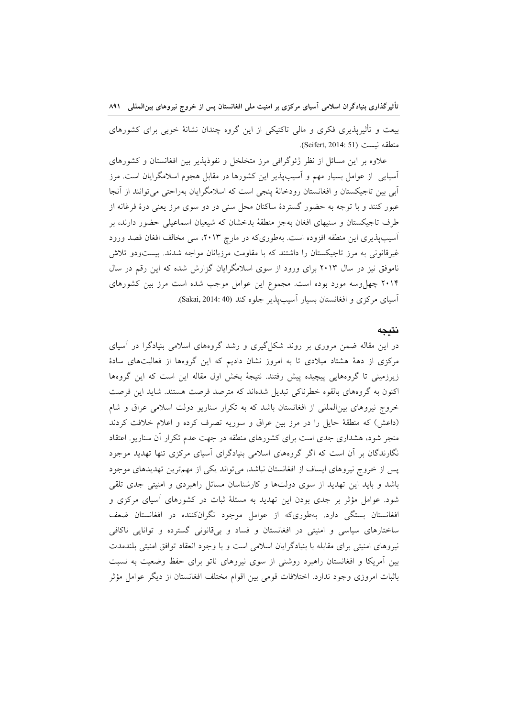بیعت و تأثیرپذیری فکری و مالی تاکتیکی از این گروه چندان نشانهٔ خوبی برای کشورهای منطقه نسبت (Seifert, 2014: 51).

علاوه بر این مسائل از نظر ژئوگرافی مرز متخلخل و نفوذپذیر بین افغانستان و کشورهای آسیایی از عوامل بسیار مهم و آسیبپذیر این کشورها در مقابل هجوم اسلامگرایان است. مرز آبي بين تاجيكستان و افغانستان رودخانهٔ ينجي است كه اسلامگرايان بهراحتي مي توانند از آنجا عبور کنند و با توجه به حضور گستردهٔ ساکنان محل سنی در دو سوی مرز یعنی درهٔ فرغانه از طرف تاجیکستان و سنیهای افغان بهجز منطقهٔ بدخشان که شیعیان اسماعیلی حضور دارند، بر آسیبپذیری این منطقه افزوده است. بهطوریکه در مارچ ۲۰۱۳، سی مخالف افغان قصد ورود غیرقانونی به مرز تاجیکستان را داشتند که با مقاومت مرزبانان مواجه شدند. بیستودو تلاش ناموفق نیز در سال ۲۰۱۳ برای ورود از سوی اسلامگرایان گزارش شده که این رقم در سال ۲۰۱۴ چهل وسه مورد بوده است. مجموع این عوامل موجب شده است مرز بین کشورهای آسیای مرکزی و افغانستان بسیار آسیبپذیر جلوه کند (Sakai, 2014: 40).

#### نتيجه

در این مقاله ضمن مروری بر روند شکل گیری و رشد گروههای اسلامی بنیادگرا در آسیای مرکزی از دههٔ هشتاد میلادی تا به امروز نشان دادیم که این گروهها از فعالیتهای سادهٔ زیرزمینی تا گروههایی پیچیده پیش رفتند. نتیجهٔ بخش اول مقاله این است که این گروهها اکنون به گروههای بالقوه خطرناکی تبدیل شدهاند که مترصد فرصت هستند. شاید این فرصت خروج نیروهای بین|لمللی از افغانستان باشد که به تکرار سناریو دولت اسلامی عراق و شام (داعش) که منطقهٔ حایل را در مرز بین عراق و سوریه تصرف کرده و اعلام خلافت کردند منجر شود، هشداری جدی است برای کشورهای منطقه در جهت عدم تکرار آن سناریو. اعتقاد نگارندگان بر آن است که اگر گروههای اسلامی بنیادگرای آسیای مرکزی تنها تهدید موجود پس از خروج نیروهای ایساف از افغانستان نباشد، میتواند یکی از مهمترین تهدیدهای موجود باشد و باید این تهدید از سوی دولتها و کارشناسان مسائل راهبردی و امنیتی جدی تلقی شود. عوامل مؤثر بر جدی بودن این تهدید به مسئلهٔ ثبات در کشورهای آسیای مرکزی و افغانستان بستگی دارد. بهطوریکه از عوامل موجود نگرانکننده در افغانستان ضعف ساختارهای سیاسی و امنیتی در افغانستان و فساد و بیقانونی گسترده و توانایی ناکافی نیروهای امنیتی برای مقابله با بنیادگرایان اسلامی است و با وجود انعقاد توافق امنیتی بلندمدت بین أمریکا و افغانستان راهبرد روشنی از سوی نیروهای ناتو برای حفظ وضعیت به نسبت باثبات امروزی وجود ندارد. اختلافات قومی بین اقوام مختلف افغانستان از دیگر عوامل مؤثر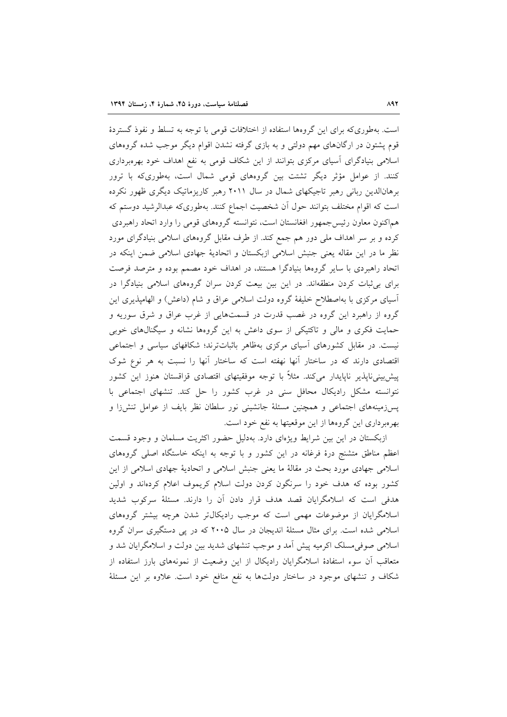است. بهطوری که برای این گروهها استفاده از اختلافات قومی با توجه به تسلط و نفوذ گستردهٔ قوم پشتون در ارگانهای مهم دولتی و به بازی گرفته نشدن اقوام دیگر موجب شده گروههای اسلامی بنیادگرای آسیای مرکزی بتوانند از این شکاف قومی به نفع اهداف خود بهرهبرداری کنند. از عوامل مؤثر دیگر تشتت بین گروههای قومی شمال است، بهطوریکه با ترور برهانالدین ربانی رهبر تاجیکهای شمال در سال ۲۰۱۱ رهبر کاریزماتیک دیگری ظهور نکرده است که اقوام مختلف بتوانند حول اّن شخصیت اجماع کنند. بهطوریکه عبدالرشید دوستم که هماکنون معاون رئیس جمهور افغانستان است، نتوانسته گروههای قومی را وارد اتحاد راهبردی کرده و بر سر اهداف ملی دور هم جمع کند. از طرف مقابل گروههای اسلامی بنیادگرای مورد نظر ما در این مقاله یعنی جنبش اسلامی ازبکستان و اتحادیهٔ جهادی اسلامی ضمن اینکه در اتحاد راهبردی با سایر گروهها بنیادگرا هستند، در اهداف خود مصمم بوده و مترصد فرصت برای بی ثبات کردن منطقهاند. در این بین بیعت کردن سران گروههای اسلامی بنیادگرا در آسیای مرکزی با بهاصطلاح خلیفهٔ گروه دولت اسلامی عراق و شام (داعش) و الهامپذیری این گروه از راهبرد این گروه در غصب قدرت در قسمتهایی از غرب عراق و شرق سوریه و حمایت فکری و مالی و تاکتیکی از سوی داعش به این گروهها نشانه و سیگنالهای خوبی نیست. در مقابل کشورهای آسیای مرکزی بهظاهر باثباتترند؛ شکافهای سیاسی و اجتماعی اقتصادی دارند که در ساختار آنها نهفته است که ساختار آنها را نسبت به هر نوع شوک پیش بینی،ناپذیر ناپایدار میکند. مثلاً با توجه موفقیتهای اقتصادی قزاقستان هنوز این کشور نتوانسته مشکل رادیکال محافل سنی در غرب کشور را حل کند. تنشهای اجتماعی با پسزمینههای اجتماعی و همچنین مسئلهٔ جانشینی نور سلطان نظر بایف از عوامل تنشزا و بهرهبرداری این گروهها از این موقعیتها به نفع خود است.

ازبکستان در این بین شرایط ویژهای دارد. بهدلیل حضور اکثریت مسلمان و وجود قسمت اعظم مناطق متشنج درهٔ فرغانه در این کشور و با توجه به اینکه خاستگاه اصلی گروههای اسلامی جهادی مورد بحث در مقالهٔ ما یعنی جنبش اسلامی و اتحادیهٔ جهادی اسلامی از این کشور بوده که هدف خود را سرنگون کردن دولت اسلام کریموف اعلام کردهاند و اولین هدفی است که اسلامگرایان قصد هدف قرار دادن آن را دارند. مسئلهٔ سرکوب شدید اسلامگرایان از موضوعات مهمی است که موجب رادیکال تر شدن هرچه بیشتر گروههای اسلامی شده است. برای مثال مسئلهٔ اندیجان در سال ۲۰۰۵ که در پی دستگیری سران گروه اسلامی صوفی مسلک اکر میه پیش آمد و موجب تنشهای شدید بین دولت و اسلامگرایان شد و متعاقب آن سوء استفادهٔ اسلامگرایان رادیکال از این وضعیت از نمونههای بارز استفاده از شکاف و تنشهای موجود در ساختار دولتها به نفع منافع خود است. علاوه بر این مسئلهٔ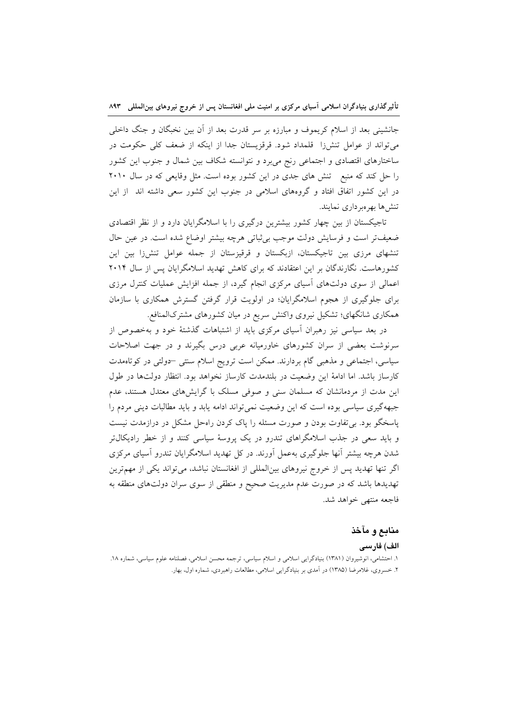جانشینی بعد از اسلام کریموف و مبارزه بر سر قدرت بعد از آن بین نخبگان و جنگ داخلی میتواند از عوامل تنشزا قلمداد شود. قرقزیستان جدا از اینکه از ضعف کلی حکومت در ساختارهای اقتصادی و اجتماعی رنج می برد و نتوانسته شکاف بین شمال و جنوب این کشور را حل کند که منبع تنش های جدی در این کشور بوده است. مثل وقایعی که در سال ۲۰۱۰ در این کشور اتفاق افتاد و گروههای اسلامی در جنوب این کشور سعی داشته اند ًاز این تنش ها بهر هبر داری نمایند.

تاجیکستان از بین چهار کشور بیشترین درگیری را با اسلامگرایان دارد و از نظر اقتصادی ضعیفتر است و فرسایش دولت موجب بی ثباتی هرچه بیشتر اوضاع شده است. در عین حال تنشهای مرزی بین تاجیکستان، ازبکستان و قرقیزستان از جمله عوامل تنشرزا بین این کشورهاست. نگارندگان بر این اعتقادند که برای کاهش تهدید اسلامگرایان پس از سال ۲۰۱۴ اعمالی از سوی دولتهای آسیای مرکزی انجام گیرد، از جمله افزایش عملیات کنترل مرزی برای جلوگیری از هجوم اسلامگرایان؛ در اولویت قرار گرفتن گسترش همکاری با سازمان همکاری شانگهای؛ تشکیل نیروی واکنش سریع در میان کشورهای مشترکالمنافع.

در بعد سیاسی نیز رهبران آسیای مرکزی باید از اشتباهات گذشتهٔ خود و بهخصوص از سرنوشت بعضی از سران کشورهای خاورمیانه عربی درس بگیرند و در جهت اصلاحات سیاسی، اجتماعی و مذهبی گام بردارند. ممکن است ترویج اسلام سنتی -دولتی در کوتاهمدت كارساز باشد. اما ادامهٔ این وضعیت در بلندمدت كارساز نخواهد بود. انتظار دولتها در طول این مدت از مردمانشان که مسلمان سنی و صوفی مسلک با گرایش های معتدل هستند، عدم جبههگیری سیاسی بوده است که این وضعیت نمی تواند ادامه یابد و باید مطالبات دینی مردم را پاسخگو بود. بی تفاوت بودن و صورت مسئله را پاک کردن راهحل مشکل در درازمدت نیست و باید سعی در جذب اسلامگراهای تندرو در یک پروسهٔ سیاسی کنند و از خطر رادیکال تر شدن هرچه بیشتر آنها جلوگیری بهعمل آورند. در کل تهدید اسلامگرایان تندرو آسیای مرکزی اگر تنها تهدید پس از خروج نیروهای بینالمللی از افغانستان نباشد، میتواند یکی از مهمترین تهدیدها باشد که در صورت عدم مدیریت صحیح و منطقی از سوی سران دولتهای منطقه به فاجعه منتهي خواهد شد.

# منابع و مآخذ

#### الف) فارسى

١. احتشامي، انوشيروان (١٣٨١) بنيادگرايي اسلامي و اسلام سياسي، ترجمه محسن اسلامي، فصلنامه علوم سياسي، شماره ١٨. ۲. خسروی، غلامرضا (۱۳۸۵) در آمدی بر بنیادگرایی اسلامی، مطالعات راهبردی، شماره اول، بهار.